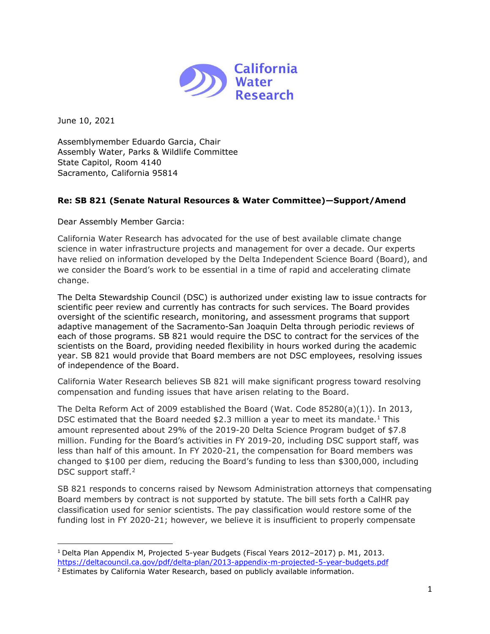

June 10, 2021

Assemblymember Eduardo Garcia, Chair Assembly Water, Parks & Wildlife Committee State Capitol, Room 4140 Sacramento, California 95814

## **Re: SB 821 (Senate Natural Resources & Water Committee)—Support/Amend**

Dear Assembly Member Garcia:

California Water Research has advocated for the use of best available climate change science in water infrastructure projects and management for over a decade. Our experts have relied on information developed by the Delta Independent Science Board (Board), and we consider the Board's work to be essential in a time of rapid and accelerating climate change.

The Delta Stewardship Council (DSC) is authorized under existing law to issue contracts for scientific peer review and currently has contracts for such services. The Board provides oversight of the scientific research, monitoring, and assessment programs that support adaptive management of the Sacramento-San Joaquin Delta through periodic reviews of each of those programs. SB 821 would require the DSC to contract for the services of the scientists on the Board, providing needed flexibility in hours worked during the academic year. SB 821 would provide that Board members are not DSC employees, resolving issues of independence of the Board.

California Water Research believes SB 821 will make significant progress toward resolving compensation and funding issues that have arisen relating to the Board.

The Delta Reform Act of 2009 established the Board (Wat. Code 85280(a)(1)). In 2013, DSC estimated that the Board needed  $$2.3$  million a year to meet its mandate.<sup>[1](#page-0-0)</sup> This amount represented about 29% of the 2019-20 Delta Science Program budget of \$7.8 million. Funding for the Board's activities in FY 2019-20, including DSC support staff, was less than half of this amount. In FY 2020-21, the compensation for Board members was changed to \$100 per diem, reducing the Board's funding to less than \$300,000, including DSC support staff.<sup>[2](#page-0-1)</sup>

SB 821 responds to concerns raised by Newsom Administration attorneys that compensating Board members by contract is not supported by statute. The bill sets forth a CalHR pay classification used for senior scientists. The pay classification would restore some of the funding lost in FY 2020-21; however, we believe it is insufficient to properly compensate

<span id="page-0-0"></span><sup>1</sup> Delta Plan Appendix M, Projected 5-year Budgets (Fiscal Years 2012–2017) p. M1, 2013. <https://deltacouncil.ca.gov/pdf/delta-plan/2013-appendix-m-projected-5-year-budgets.pdf>

<span id="page-0-1"></span><sup>&</sup>lt;sup>2</sup> Estimates by California Water Research, based on publicly available information.